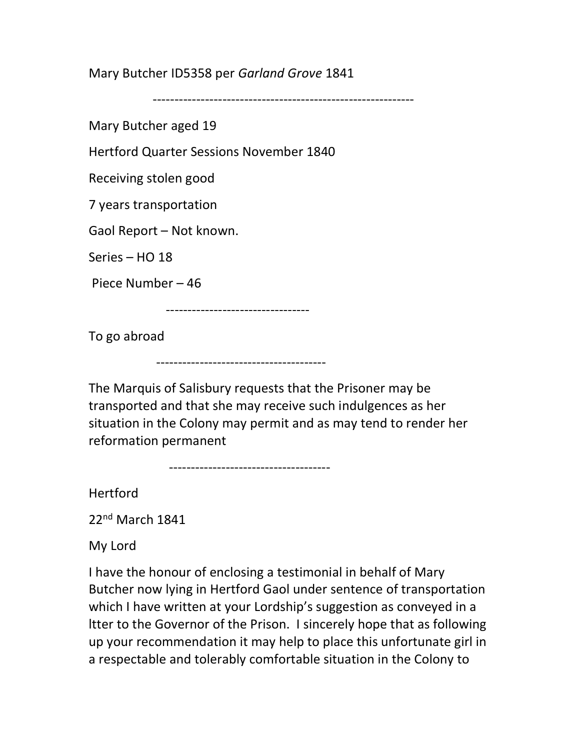Mary Butcher ID5358 per Garland Grove 1841

------------------------------------------------------------

Mary Butcher aged 19

Hertford Quarter Sessions November 1840

Receiving stolen good

7 years transportation

Gaol Report – Not known.

Series – HO 18

Piece Number – 46

---------------------------------

To go abroad

---------------------------------------

The Marquis of Salisbury requests that the Prisoner may be transported and that she may receive such indulgences as her situation in the Colony may permit and as may tend to render her reformation permanent

-------------------------------------

Hertford

22nd March 1841

My Lord

I have the honour of enclosing a testimonial in behalf of Mary Butcher now lying in Hertford Gaol under sentence of transportation which I have written at your Lordship's suggestion as conveyed in a ltter to the Governor of the Prison. I sincerely hope that as following up your recommendation it may help to place this unfortunate girl in a respectable and tolerably comfortable situation in the Colony to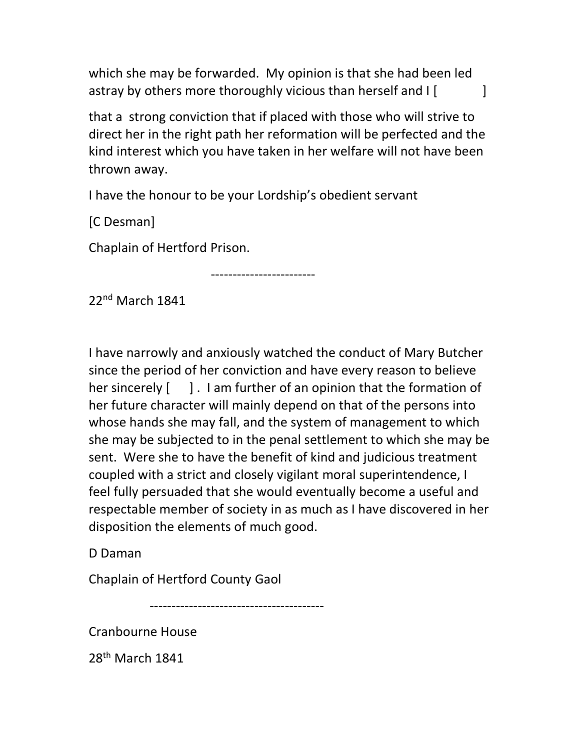which she may be forwarded. My opinion is that she had been led astray by others more thoroughly vicious than herself and I [

that a strong conviction that if placed with those who will strive to direct her in the right path her reformation will be perfected and the kind interest which you have taken in her welfare will not have been thrown away.

I have the honour to be your Lordship's obedient servant

[C Desman]

Chaplain of Hertford Prison.

------------------------

22nd March 1841

I have narrowly and anxiously watched the conduct of Mary Butcher since the period of her conviction and have every reason to believe her sincerely [ ]. I am further of an opinion that the formation of her future character will mainly depend on that of the persons into whose hands she may fall, and the system of management to which she may be subjected to in the penal settlement to which she may be sent. Were she to have the benefit of kind and judicious treatment coupled with a strict and closely vigilant moral superintendence, I feel fully persuaded that she would eventually become a useful and respectable member of society in as much as I have discovered in her disposition the elements of much good.

D Daman

Chaplain of Hertford County Gaol

----------------------------------------

Cranbourne House

28th March 1841